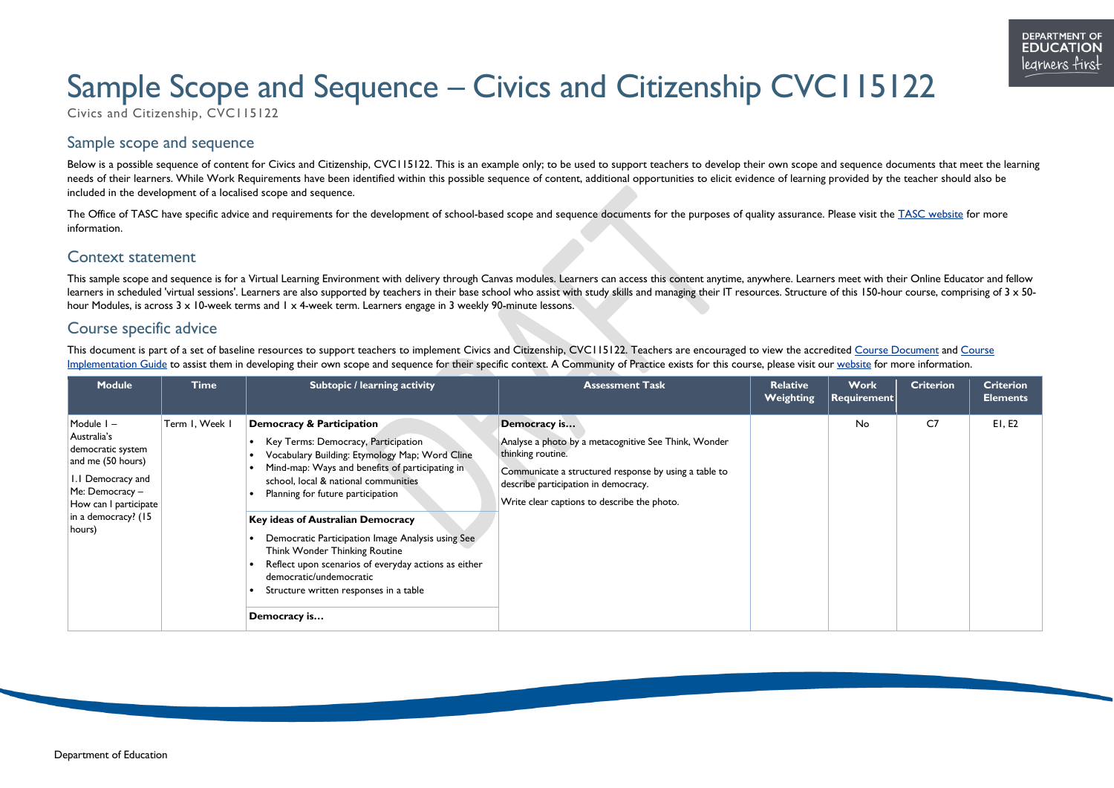

# Sample Scope and Sequence – Civics and Citizenship CVC115122

Civics and Citizenship, CVC115122

# Sample scope and sequence

Below is a possible sequence of content for Civics and Citizenship, CVC115122. This is an example only; to be used to support teachers to develop their own scope and sequence documents that meet the learning needs of their learners. While Work Requirements have been identified within this possible sequence of content, additional opportunities to elicit evidence of learning provided by the teacher should also be included in the development of a localised scope and sequence.

The Office of TASC have specific advice and requirements for the development of school-based scope and sequence documents for the purposes of quality assurance. Please visit the [TASC website](http://www.tasc.tas.gov.au/) for more information.

### Context statement

This sample scope and sequence is for a Virtual Learning Environment with delivery through Canvas modules. Learners can access this content anytime, anywhere. Learners meet with their Online Educator and fellow learners in scheduled 'virtual sessions'. Learners are also supported by teachers in their base school who assist with study skills and managing their IT resources. Structure of this 150-hour course, comprising of 3 x 50hour Modules, is across 3 x 10-week terms and 1 x 4-week term. Learners engage in 3 weekly 90-minute lessons.

## Course specific advice

This document is part of a set of baseline resources to support teachers to implement Civics and Citizenship, CVC115122. Teachers are encouraged to view the accredited [Course Document](https://documentcentre.education.tas.gov.au/_layouts/15/DocIdRedir.aspx?ID=TASED-1409172972-1880) and Course [Implementation Guide](https://documentcentre.education.tas.gov.au/_layouts/15/DocIdRedir.aspx?ID=TASED-1409172972-1884) to assist them in developing their own scope and sequence for their specific context. A Community of Practice exists for this course, please visit our [website](https://11and12.education.tas.gov.au/communities-of-practice/) for more information.

| <b>Module</b>                                                                                                                                                           | <b>Time</b>    | Subtopic / learning activity                                                                                                                                                                                                                                                                                                                                                                                                                                                                                                                 | <b>Assessment Task</b>                                                                                                                                                                                                                    | <b>Relative</b><br>Weighting | <b>Work</b><br>$ \,$ Requirement $ \,$ | <b>Criterion</b> | <b>Criterion</b><br><b>Elements</b> |
|-------------------------------------------------------------------------------------------------------------------------------------------------------------------------|----------------|----------------------------------------------------------------------------------------------------------------------------------------------------------------------------------------------------------------------------------------------------------------------------------------------------------------------------------------------------------------------------------------------------------------------------------------------------------------------------------------------------------------------------------------------|-------------------------------------------------------------------------------------------------------------------------------------------------------------------------------------------------------------------------------------------|------------------------------|----------------------------------------|------------------|-------------------------------------|
| Module $I -$<br>Australia's<br>democratic system<br>and me (50 hours)<br>I.I Democracy and<br>Me: Democracy –<br>How can I participate<br>in a democracy? (15<br>hours) | Term I, Week I | <b>Democracy &amp; Participation</b><br>Key Terms: Democracy, Participation<br>Vocabulary Building: Etymology Map; Word Cline<br>Mind-map: Ways and benefits of participating in<br>school, local & national communities<br>Planning for future participation<br><b>Key ideas of Australian Democracy</b><br>Democratic Participation Image Analysis using See<br>Think Wonder Thinking Routine<br>Reflect upon scenarios of everyday actions as either<br>democratic/undemocratic<br>Structure written responses in a table<br>Democracy is | Democracy is<br>Analyse a photo by a metacognitive See Think, Wonder<br>thinking routine.<br>Communicate a structured response by using a table to<br>describe participation in democracy.<br>Write clear captions to describe the photo. |                              | No                                     | C <sub>7</sub>   | E1, E2                              |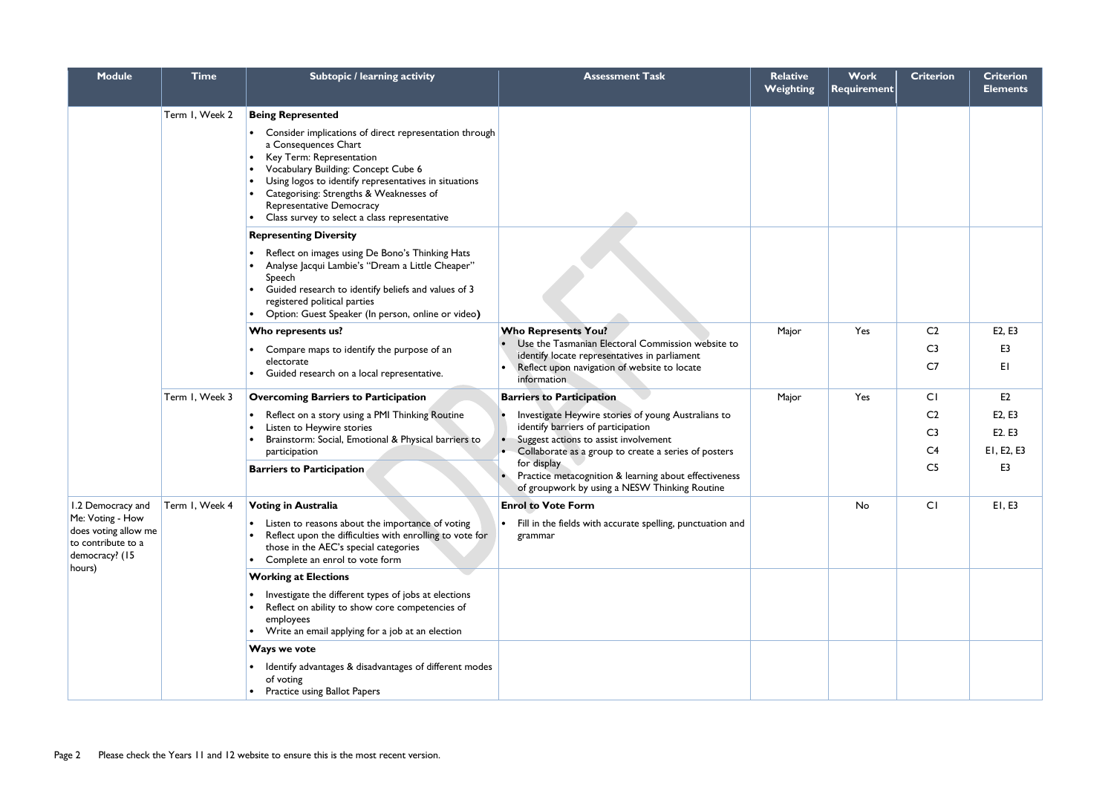| <b>Module</b>                                                                              | <b>Time</b>    | Subtopic / learning activity                                                                                                                                                                                                                                                                                                         | <b>Assessment Task</b>                                                                                                | <b>Relative</b><br><b>Weighting</b> | Work<br>$\vert$ Requirement $\vert$ | <b>Criterion</b> | <b>Criterion</b><br><b>Elements</b> |
|--------------------------------------------------------------------------------------------|----------------|--------------------------------------------------------------------------------------------------------------------------------------------------------------------------------------------------------------------------------------------------------------------------------------------------------------------------------------|-----------------------------------------------------------------------------------------------------------------------|-------------------------------------|-------------------------------------|------------------|-------------------------------------|
|                                                                                            | Term I, Week 2 | <b>Being Represented</b>                                                                                                                                                                                                                                                                                                             |                                                                                                                       |                                     |                                     |                  |                                     |
|                                                                                            |                | • Consider implications of direct representation through<br>a Consequences Chart<br>Key Term: Representation<br>Vocabulary Building: Concept Cube 6<br>Using logos to identify representatives in situations<br>Categorising: Strengths & Weaknesses of<br>Representative Democracy<br>Class survey to select a class representative |                                                                                                                       |                                     |                                     |                  |                                     |
|                                                                                            |                | <b>Representing Diversity</b>                                                                                                                                                                                                                                                                                                        |                                                                                                                       |                                     |                                     |                  |                                     |
|                                                                                            |                | Reflect on images using De Bono's Thinking Hats<br>Analyse Jacqui Lambie's "Dream a Little Cheaper"<br>Speech<br>Guided research to identify beliefs and values of 3<br>registered political parties<br>Option: Guest Speaker (In person, online or video)                                                                           |                                                                                                                       |                                     |                                     |                  |                                     |
|                                                                                            |                | Who represents us?                                                                                                                                                                                                                                                                                                                   | <b>Who Represents You?</b>                                                                                            | Major                               | Yes                                 | C <sub>2</sub>   | E2, E3                              |
|                                                                                            |                | Compare maps to identify the purpose of an                                                                                                                                                                                                                                                                                           | Use the Tasmanian Electoral Commission website to<br>identify locate representatives in parliament                    |                                     |                                     | C <sub>3</sub>   | E3                                  |
|                                                                                            |                | electorate<br>Guided research on a local representative.                                                                                                                                                                                                                                                                             | Reflect upon navigation of website to locate<br>information                                                           |                                     |                                     | C <sub>7</sub>   | EI                                  |
|                                                                                            | Term I, Week 3 | <b>Overcoming Barriers to Participation</b>                                                                                                                                                                                                                                                                                          | <b>Barriers to Participation</b>                                                                                      | Major                               | Yes                                 | CI               | E2                                  |
|                                                                                            |                | Reflect on a story using a PMI Thinking Routine                                                                                                                                                                                                                                                                                      | Investigate Heywire stories of young Australians to                                                                   |                                     |                                     | C <sub>2</sub>   | E2, E3                              |
|                                                                                            |                | Listen to Heywire stories<br>Brainstorm: Social, Emotional & Physical barriers to                                                                                                                                                                                                                                                    | identify barriers of participation<br>Suggest actions to assist involvement                                           |                                     |                                     | C <sub>3</sub>   | E2. E3                              |
|                                                                                            |                | participation                                                                                                                                                                                                                                                                                                                        | Collaborate as a group to create a series of posters                                                                  |                                     |                                     | C <sub>4</sub>   | EI, E2, E3                          |
|                                                                                            |                | <b>Barriers to Participation</b>                                                                                                                                                                                                                                                                                                     | for display<br>Practice metacognition & learning about effectiveness<br>of groupwork by using a NESW Thinking Routine |                                     |                                     | C <sub>5</sub>   | E3                                  |
| 1.2 Democracy and                                                                          | Term I, Week 4 | <b>Voting in Australia</b>                                                                                                                                                                                                                                                                                                           | <b>Enrol to Vote Form</b>                                                                                             |                                     | No                                  | CI               | E1, E3                              |
| Me: Voting - How<br>does voting allow me<br>to contribute to a<br>democracy? (15<br>hours) |                | Listen to reasons about the importance of voting<br>Reflect upon the difficulties with enrolling to vote for<br>those in the AEC's special categories<br>Complete an enrol to vote form                                                                                                                                              | Fill in the fields with accurate spelling, punctuation and<br>grammar                                                 |                                     |                                     |                  |                                     |
|                                                                                            |                | <b>Working at Elections</b>                                                                                                                                                                                                                                                                                                          |                                                                                                                       |                                     |                                     |                  |                                     |
|                                                                                            |                | Investigate the different types of jobs at elections<br>Reflect on ability to show core competencies of<br>employees<br>Write an email applying for a job at an election                                                                                                                                                             |                                                                                                                       |                                     |                                     |                  |                                     |
|                                                                                            |                | Ways we vote                                                                                                                                                                                                                                                                                                                         |                                                                                                                       |                                     |                                     |                  |                                     |
|                                                                                            |                | Identify advantages & disadvantages of different modes<br>of voting<br>Practice using Ballot Papers                                                                                                                                                                                                                                  |                                                                                                                       |                                     |                                     |                  |                                     |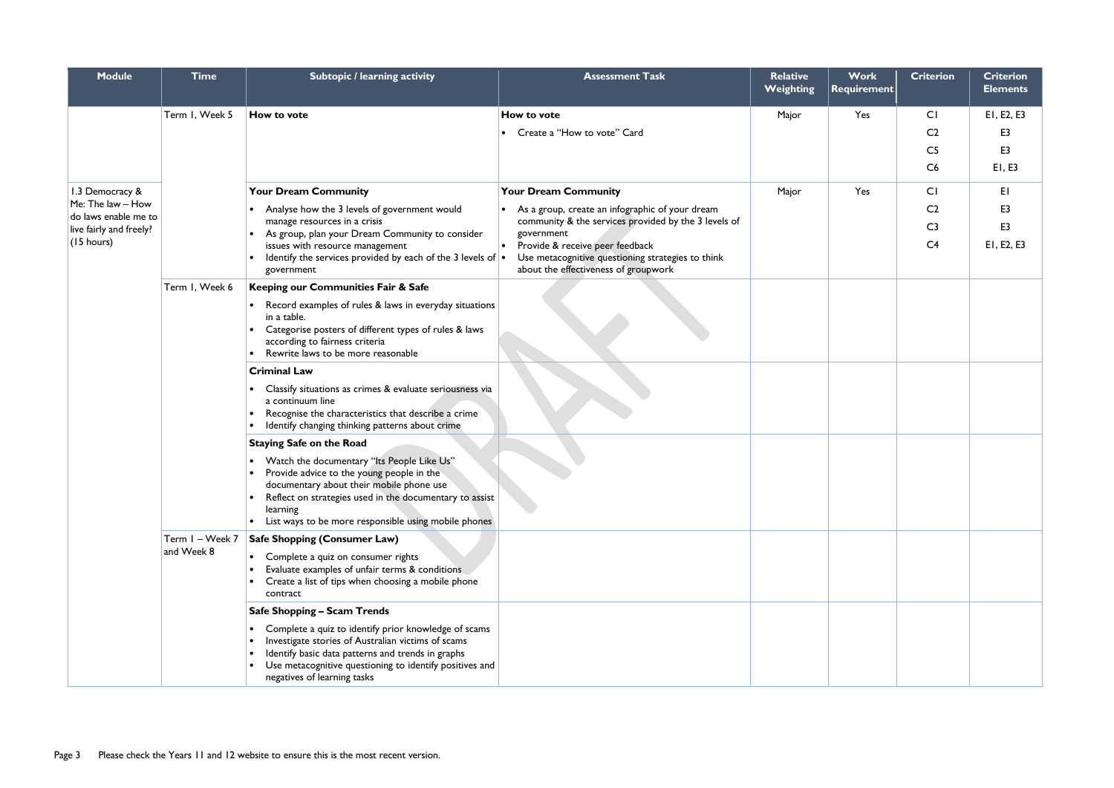| <b>Module</b>                                   | <b>Time</b>     | Subtopic / learning activity                                                                            | <b>Assessment Task</b>                               | <b>Relative</b><br><b>Weighting</b> | Work<br><b>Requirement</b> | <b>Criterion</b> | <b>Criterion</b><br><b>Elements</b> |
|-------------------------------------------------|-----------------|---------------------------------------------------------------------------------------------------------|------------------------------------------------------|-------------------------------------|----------------------------|------------------|-------------------------------------|
|                                                 | Term I, Week 5  | <b>How to vote</b>                                                                                      | How to vote                                          | Major                               | Yes                        | CI               | EI, E2, E3                          |
|                                                 |                 |                                                                                                         | Create a "How to vote" Card                          |                                     |                            | C <sub>2</sub>   | E <sub>3</sub>                      |
|                                                 |                 |                                                                                                         |                                                      |                                     |                            | C <sub>5</sub>   | E <sub>3</sub>                      |
|                                                 |                 |                                                                                                         |                                                      |                                     |                            | C6               | E1, E3                              |
| 1.3 Democracy &                                 |                 | <b>Your Dream Community</b>                                                                             | <b>Your Dream Community</b>                          | Major                               | Yes                        | CI               | ΕI                                  |
| Me: The law - How                               |                 | Analyse how the 3 levels of government would                                                            | As a group, create an infographic of your dream      |                                     |                            | C <sub>2</sub>   | E <sub>3</sub>                      |
| do laws enable me to<br>live fairly and freely? |                 | manage resources in a crisis                                                                            | community & the services provided by the 3 levels of |                                     |                            | C <sub>3</sub>   | E <sub>3</sub>                      |
| (15 hours)                                      |                 | As group, plan your Dream Community to consider<br>issues with resource management                      | government<br>Provide & receive peer feedback        |                                     |                            | C <sub>4</sub>   | EI, E2, E3                          |
|                                                 |                 | Identify the services provided by each of the 3 levels of $\cdot$                                       | Use metacognitive questioning strategies to think    |                                     |                            |                  |                                     |
|                                                 | Term I, Week 6  | government<br>Keeping our Communities Fair & Safe                                                       | about the effectiveness of groupwork                 |                                     |                            |                  |                                     |
|                                                 |                 | Record examples of rules & laws in everyday situations                                                  |                                                      |                                     |                            |                  |                                     |
|                                                 |                 | in a table.                                                                                             |                                                      |                                     |                            |                  |                                     |
|                                                 |                 | Categorise posters of different types of rules & laws<br>according to fairness criteria                 |                                                      |                                     |                            |                  |                                     |
|                                                 |                 | Rewrite laws to be more reasonable                                                                      |                                                      |                                     |                            |                  |                                     |
|                                                 |                 | <b>Criminal Law</b>                                                                                     |                                                      |                                     |                            |                  |                                     |
|                                                 |                 | Classify situations as crimes & evaluate seriousness via<br>a continuum line                            |                                                      |                                     |                            |                  |                                     |
|                                                 |                 | Recognise the characteristics that describe a crime                                                     |                                                      |                                     |                            |                  |                                     |
|                                                 |                 | Identify changing thinking patterns about crime                                                         |                                                      |                                     |                            |                  |                                     |
|                                                 |                 | <b>Staying Safe on the Road</b>                                                                         |                                                      |                                     |                            |                  |                                     |
|                                                 |                 | Watch the documentary "Its People Like Us"<br>Provide advice to the young people in the                 |                                                      |                                     |                            |                  |                                     |
|                                                 |                 | documentary about their mobile phone use                                                                |                                                      |                                     |                            |                  |                                     |
|                                                 |                 | Reflect on strategies used in the documentary to assist<br>learning                                     |                                                      |                                     |                            |                  |                                     |
|                                                 |                 | List ways to be more responsible using mobile phones                                                    |                                                      |                                     |                            |                  |                                     |
|                                                 | Term I - Week 7 | <b>Safe Shopping (Consumer Law)</b>                                                                     |                                                      |                                     |                            |                  |                                     |
|                                                 | and Week 8      | Complete a quiz on consumer rights                                                                      |                                                      |                                     |                            |                  |                                     |
|                                                 |                 | Evaluate examples of unfair terms & conditions<br>Create a list of tips when choosing a mobile phone    |                                                      |                                     |                            |                  |                                     |
|                                                 |                 | contract                                                                                                |                                                      |                                     |                            |                  |                                     |
|                                                 |                 | <b>Safe Shopping - Scam Trends</b>                                                                      |                                                      |                                     |                            |                  |                                     |
|                                                 |                 | Complete a quiz to identify prior knowledge of scams                                                    |                                                      |                                     |                            |                  |                                     |
|                                                 |                 | Investigate stories of Australian victims of scams<br>Identify basic data patterns and trends in graphs |                                                      |                                     |                            |                  |                                     |
|                                                 |                 | Use metacognitive questioning to identify positives and                                                 |                                                      |                                     |                            |                  |                                     |
|                                                 |                 | negatives of learning tasks                                                                             |                                                      |                                     |                            |                  |                                     |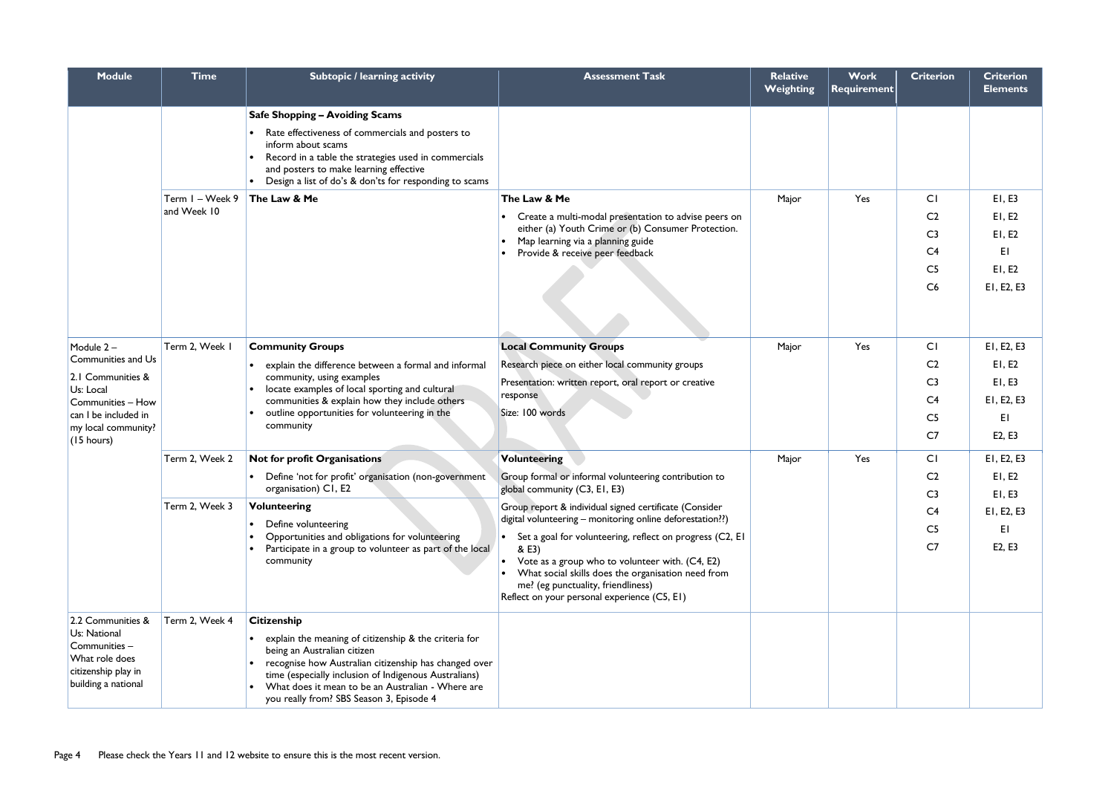| <b>Module</b>                                                                            | <b>Time</b>     | Subtopic / learning activity                                                                                                                                                                                                         | <b>Assessment Task</b>                                                                                                                                                                               | <b>Relative</b><br>Weighting | <b>Work</b><br><b>Requirement</b> | <b>Criterion</b> | <b>Criterion</b><br><b>Elements</b> |
|------------------------------------------------------------------------------------------|-----------------|--------------------------------------------------------------------------------------------------------------------------------------------------------------------------------------------------------------------------------------|------------------------------------------------------------------------------------------------------------------------------------------------------------------------------------------------------|------------------------------|-----------------------------------|------------------|-------------------------------------|
|                                                                                          |                 | <b>Safe Shopping - Avoiding Scams</b>                                                                                                                                                                                                |                                                                                                                                                                                                      |                              |                                   |                  |                                     |
|                                                                                          |                 | Rate effectiveness of commercials and posters to<br>inform about scams<br>Record in a table the strategies used in commercials<br>and posters to make learning effective<br>• Design a list of do's & don'ts for responding to scams |                                                                                                                                                                                                      |                              |                                   |                  |                                     |
|                                                                                          | Term I - Week 9 | The Law & Me                                                                                                                                                                                                                         | The Law & Me                                                                                                                                                                                         | Major                        | Yes                               | CI               | E1, E3                              |
|                                                                                          | and Week 10     |                                                                                                                                                                                                                                      | Create a multi-modal presentation to advise peers on                                                                                                                                                 |                              |                                   | C <sub>2</sub>   | E1, E2                              |
|                                                                                          |                 |                                                                                                                                                                                                                                      | either (a) Youth Crime or (b) Consumer Protection.<br>Map learning via a planning guide                                                                                                              |                              |                                   | C <sub>3</sub>   | E1, E2                              |
|                                                                                          |                 |                                                                                                                                                                                                                                      | Provide & receive peer feedback                                                                                                                                                                      |                              |                                   | C <sub>4</sub>   | EI                                  |
|                                                                                          |                 |                                                                                                                                                                                                                                      |                                                                                                                                                                                                      |                              |                                   | C <sub>5</sub>   | E1, E2                              |
|                                                                                          |                 |                                                                                                                                                                                                                                      |                                                                                                                                                                                                      |                              |                                   | C6               | EI, E2, E3                          |
| Module 2-                                                                                | Term 2, Week I  | <b>Community Groups</b>                                                                                                                                                                                                              | <b>Local Community Groups</b>                                                                                                                                                                        | Major                        | Yes                               | CI               | EI, E2, E3                          |
| Communities and Us                                                                       |                 | explain the difference between a formal and informal<br>community, using examples<br>locate examples of local sporting and cultural<br>communities & explain how they include others                                                 | Research piece on either local community groups                                                                                                                                                      |                              |                                   | C <sub>2</sub>   | E1, E2                              |
| 2.1 Communities &<br>Us: Local                                                           |                 |                                                                                                                                                                                                                                      | Presentation: written report, oral report or creative                                                                                                                                                |                              |                                   | C <sub>3</sub>   | E1, E3                              |
| Communities - How<br>can I be included in<br>my local community?<br>$(15 \text{ hours})$ |                 |                                                                                                                                                                                                                                      | response                                                                                                                                                                                             |                              |                                   | C <sub>4</sub>   | EI, E2, E3                          |
|                                                                                          |                 | outline opportunities for volunteering in the<br>community                                                                                                                                                                           | Size: 100 words                                                                                                                                                                                      |                              |                                   | C <sub>5</sub>   | EI                                  |
|                                                                                          |                 |                                                                                                                                                                                                                                      |                                                                                                                                                                                                      |                              |                                   | C <sub>7</sub>   | E2, E3                              |
|                                                                                          | Term 2, Week 2  | Not for profit Organisations                                                                                                                                                                                                         | <b>Volunteering</b>                                                                                                                                                                                  | Major                        | Yes                               | CI               | EI, E2, E3                          |
|                                                                                          |                 | • Define 'not for profit' organisation (non-government                                                                                                                                                                               | Group formal or informal volunteering contribution to                                                                                                                                                |                              |                                   | C <sub>2</sub>   | E1, E2                              |
|                                                                                          |                 | organisation) C1, E2                                                                                                                                                                                                                 | global community (C3, E1, E3)                                                                                                                                                                        |                              |                                   | C <sub>3</sub>   | E1, E3                              |
|                                                                                          | Term 2, Week 3  | <b>Volunteering</b><br>Define volunteering<br>Opportunities and obligations for volunteering                                                                                                                                         | Group report & individual signed certificate (Consider<br>digital volunteering - monitoring online deforestation??)                                                                                  |                              |                                   | C <sub>4</sub>   | EI, E2, E3                          |
|                                                                                          |                 |                                                                                                                                                                                                                                      | Set a goal for volunteering, reflect on progress (C2, EI                                                                                                                                             |                              |                                   | C <sub>5</sub>   | EI                                  |
|                                                                                          |                 | Participate in a group to volunteer as part of the local<br>community                                                                                                                                                                | & E3)<br>Vote as a group who to volunteer with. (C4, E2)<br>What social skills does the organisation need from<br>me? (eg punctuality, friendliness)<br>Reflect on your personal experience (C5, E1) |                              |                                   | C <sub>7</sub>   | E2, E3                              |
| 2.2 Communities &                                                                        | Term 2, Week 4  | <b>Citizenship</b>                                                                                                                                                                                                                   |                                                                                                                                                                                                      |                              |                                   |                  |                                     |
| Us: National<br>Communities -                                                            |                 | explain the meaning of citizenship & the criteria for                                                                                                                                                                                |                                                                                                                                                                                                      |                              |                                   |                  |                                     |
| What role does                                                                           |                 | being an Australian citizen<br>recognise how Australian citizenship has changed over                                                                                                                                                 |                                                                                                                                                                                                      |                              |                                   |                  |                                     |
| citizenship play in<br>building a national                                               |                 | time (especially inclusion of Indigenous Australians)                                                                                                                                                                                |                                                                                                                                                                                                      |                              |                                   |                  |                                     |
|                                                                                          |                 | What does it mean to be an Australian - Where are<br>you really from? SBS Season 3, Episode 4                                                                                                                                        |                                                                                                                                                                                                      |                              |                                   |                  |                                     |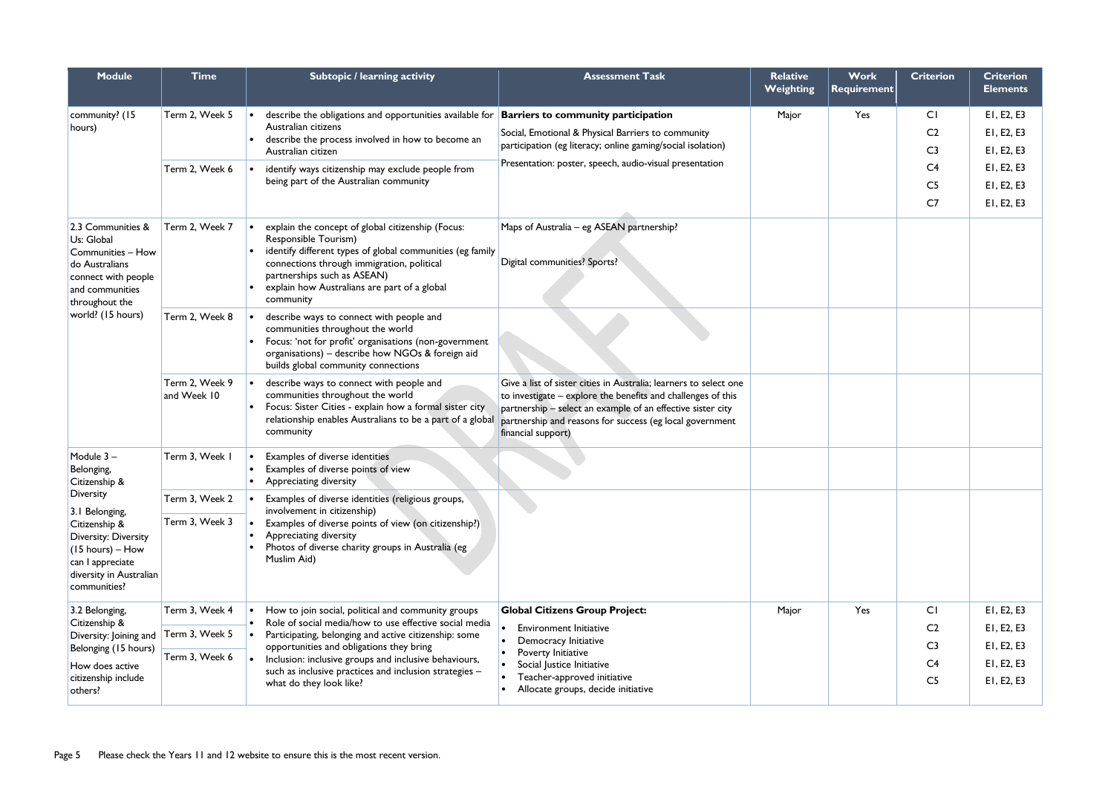| <b>Module</b>                                                                                                                                        | <b>Time</b>                                                                                                   | Subtopic / learning activity                                                                                                                                                                                                                                                     | <b>Assessment Task</b>                                                                                                                                                                                                                                                             | <b>Relative</b><br><b>Weighting</b> | <b>Work</b><br><b>Requirement</b> | <b>Criterion</b> | <b>Criterion</b><br><b>Elements</b> |
|------------------------------------------------------------------------------------------------------------------------------------------------------|---------------------------------------------------------------------------------------------------------------|----------------------------------------------------------------------------------------------------------------------------------------------------------------------------------------------------------------------------------------------------------------------------------|------------------------------------------------------------------------------------------------------------------------------------------------------------------------------------------------------------------------------------------------------------------------------------|-------------------------------------|-----------------------------------|------------------|-------------------------------------|
| community? (15                                                                                                                                       | Term 2, Week 5                                                                                                | describe the obligations and opportunities available for                                                                                                                                                                                                                         | <b>Barriers to community participation</b>                                                                                                                                                                                                                                         | Major                               | Yes                               | CI               | EI, E2, E3                          |
| hours)                                                                                                                                               |                                                                                                               | Australian citizens<br>describe the process involved in how to become an                                                                                                                                                                                                         | Social, Emotional & Physical Barriers to community                                                                                                                                                                                                                                 |                                     |                                   | C <sub>2</sub>   | EI, E2, E3                          |
|                                                                                                                                                      |                                                                                                               | Australian citizen                                                                                                                                                                                                                                                               | participation (eg literacy; online gaming/social isolation)                                                                                                                                                                                                                        |                                     |                                   | C <sub>3</sub>   | EI, E2, E3                          |
|                                                                                                                                                      | Term 2, Week 6<br>identify ways citizenship may exclude people from<br>being part of the Australian community |                                                                                                                                                                                                                                                                                  | Presentation: poster, speech, audio-visual presentation                                                                                                                                                                                                                            |                                     |                                   | C <sub>4</sub>   | EI, E2, E3                          |
|                                                                                                                                                      |                                                                                                               |                                                                                                                                                                                                                                                                                  |                                                                                                                                                                                                                                                                                    |                                     | C <sub>5</sub>                    | E1, E2, E3       |                                     |
|                                                                                                                                                      |                                                                                                               |                                                                                                                                                                                                                                                                                  |                                                                                                                                                                                                                                                                                    |                                     |                                   | C <sub>7</sub>   | EI, E2, E3                          |
| 2.3 Communities &<br>Us: Global<br>Communities - How<br>do Australians<br>connect with people<br>and communities<br>throughout the                   | Term 2, Week 7                                                                                                | explain the concept of global citizenship (Focus:<br>Responsible Tourism)<br>identify different types of global communities (eg family<br>connections through immigration, political<br>partnerships such as ASEAN)<br>explain how Australians are part of a global<br>community | Maps of Australia - eg ASEAN partnership?<br>Digital communities? Sports?                                                                                                                                                                                                          |                                     |                                   |                  |                                     |
| world? (15 hours)                                                                                                                                    | Term 2, Week 8                                                                                                | describe ways to connect with people and<br>communities throughout the world<br>Focus: 'not for profit' organisations (non-government<br>organisations) - describe how NGOs & foreign aid<br>builds global community connections                                                 |                                                                                                                                                                                                                                                                                    |                                     |                                   |                  |                                     |
|                                                                                                                                                      | Term 2, Week 9<br>and Week 10                                                                                 | describe ways to connect with people and<br>communities throughout the world<br>Focus: Sister Cities - explain how a formal sister city<br>relationship enables Australians to be a part of a global<br>community                                                                | Give a list of sister cities in Australia; learners to select one<br>to investigate - explore the benefits and challenges of this<br>partnership - select an example of an effective sister city<br>partnership and reasons for success (eg local government<br>financial support) |                                     |                                   |                  |                                     |
| Module 3-<br>Belonging,<br>Citizenship &                                                                                                             | Term 3, Week I                                                                                                | Examples of diverse identities<br>Examples of diverse points of view<br>Appreciating diversity                                                                                                                                                                                   |                                                                                                                                                                                                                                                                                    |                                     |                                   |                  |                                     |
| Diversity                                                                                                                                            | Term 3, Week 2                                                                                                | Examples of diverse identities (religious groups,                                                                                                                                                                                                                                |                                                                                                                                                                                                                                                                                    |                                     |                                   |                  |                                     |
| 3.1 Belonging,<br>Citizenship &<br>Diversity: Diversity<br>$(15 \text{ hours}) -$ How<br>can I appreciate<br>diversity in Australian<br>communities? | Term 3, Week 3                                                                                                | involvement in citizenship)<br>Examples of diverse points of view (on citizenship?)<br>Appreciating diversity<br>Photos of diverse charity groups in Australia (eg<br>Muslim Aid)                                                                                                |                                                                                                                                                                                                                                                                                    |                                     |                                   |                  |                                     |
| 3.2 Belonging,                                                                                                                                       | Term 3, Week 4                                                                                                | How to join social, political and community groups                                                                                                                                                                                                                               | <b>Global Citizens Group Project:</b>                                                                                                                                                                                                                                              | Major                               | Yes                               | CI               | EI, E2, E3                          |
| Citizenship &<br>Diversity: Joining and                                                                                                              | Term 3, Week 5                                                                                                | Role of social media/how to use effective social media<br>Participating, belonging and active citizenship: some                                                                                                                                                                  | <b>Environment Initiative</b>                                                                                                                                                                                                                                                      |                                     |                                   | C <sub>2</sub>   | EI, E2, E3                          |
| Belonging (15 hours)                                                                                                                                 |                                                                                                               | opportunities and obligations they bring                                                                                                                                                                                                                                         | Democracy Initiative<br>Poverty Initiative                                                                                                                                                                                                                                         |                                     |                                   | C <sub>3</sub>   | EI, E2, E3                          |
| How does active                                                                                                                                      | Term 3, Week 6                                                                                                | Inclusion: inclusive groups and inclusive behaviours,<br>such as inclusive practices and inclusion strategies -                                                                                                                                                                  | Social Justice Initiative                                                                                                                                                                                                                                                          |                                     |                                   | C <sub>4</sub>   | EI, E2, E3                          |
| citizenship include<br>others?                                                                                                                       | Teacher-approved initiative<br>what do they look like?<br>Allocate groups, decide initiative                  |                                                                                                                                                                                                                                                                                  |                                                                                                                                                                                                                                                                                    |                                     | C <sub>5</sub>                    | EI, E2, E3       |                                     |